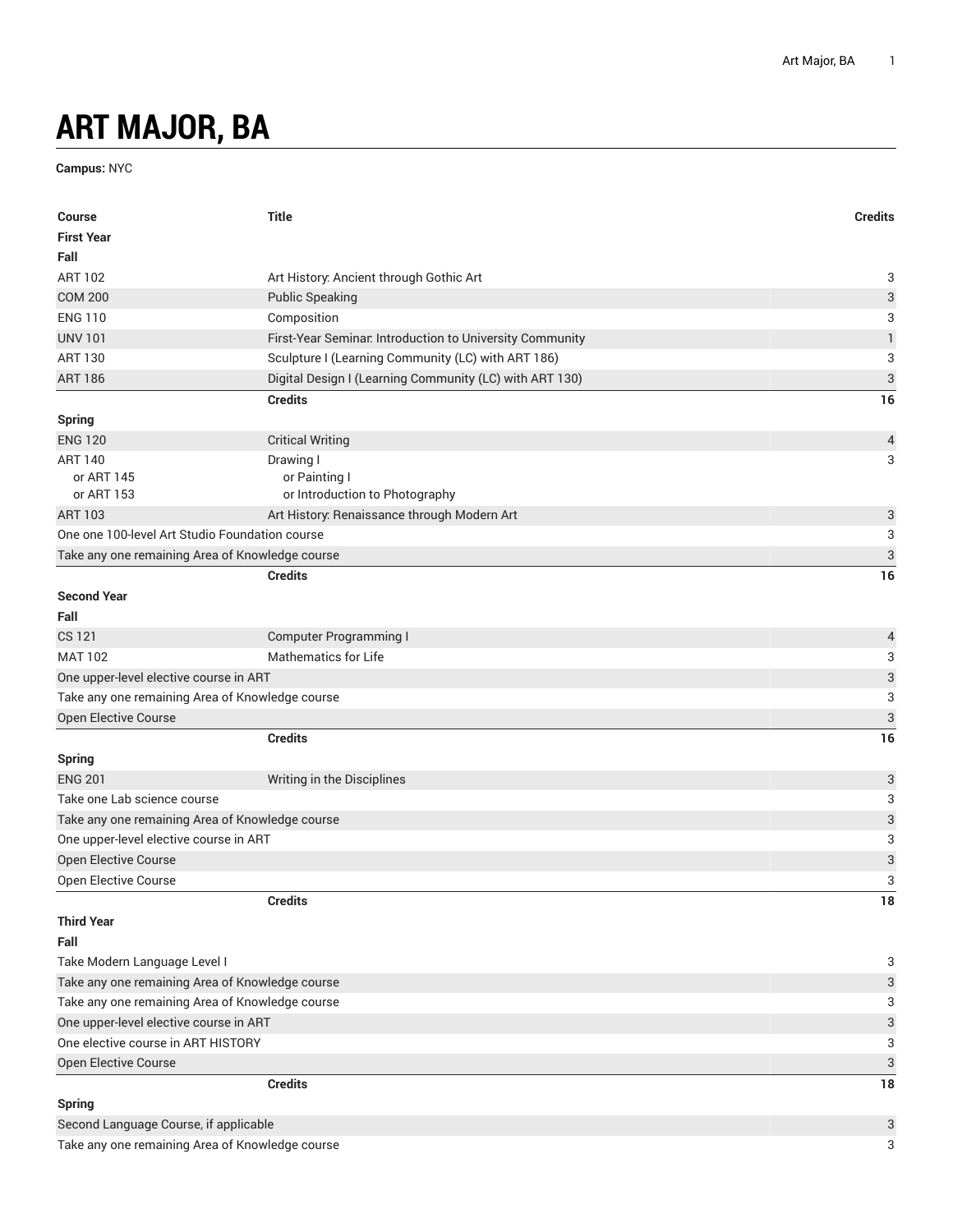## **ART MAJOR, BA**

**Campus:** NYC

| <b>Course</b>                                   | <b>Title</b>                                             | <b>Credits</b>            |
|-------------------------------------------------|----------------------------------------------------------|---------------------------|
| <b>First Year</b>                               |                                                          |                           |
| Fall                                            |                                                          |                           |
| <b>ART 102</b>                                  | Art History: Ancient through Gothic Art                  | 3                         |
| <b>COM 200</b>                                  | <b>Public Speaking</b>                                   | 3                         |
| <b>ENG 110</b>                                  | Composition                                              | 3                         |
| <b>UNV 101</b>                                  | First-Year Seminar. Introduction to University Community | $\mathbf{1}$              |
| <b>ART 130</b>                                  | Sculpture I (Learning Community (LC) with ART 186)       | 3                         |
| <b>ART 186</b>                                  | Digital Design I (Learning Community (LC) with ART 130)  | $\ensuremath{\mathsf{3}}$ |
|                                                 | <b>Credits</b>                                           | 16                        |
| <b>Spring</b>                                   |                                                          |                           |
| <b>ENG 120</b>                                  | <b>Critical Writing</b>                                  | $\overline{a}$            |
| <b>ART 140</b>                                  | Drawing I                                                | 3                         |
| or ART 145                                      | or Painting I                                            |                           |
| or ART 153                                      | or Introduction to Photography                           |                           |
| <b>ART 103</b>                                  | Art History: Renaissance through Modern Art              | $\ensuremath{\mathsf{3}}$ |
| One one 100-level Art Studio Foundation course  |                                                          | 3                         |
| Take any one remaining Area of Knowledge course |                                                          | $\mathfrak{S}$            |
|                                                 | <b>Credits</b>                                           | 16                        |
| <b>Second Year</b>                              |                                                          |                           |
| Fall                                            |                                                          |                           |
| CS 121                                          | <b>Computer Programming I</b>                            | $\overline{a}$            |
| <b>MAT 102</b>                                  | <b>Mathematics for Life</b>                              | 3                         |
| One upper-level elective course in ART          |                                                          | $\overline{3}$            |
| Take any one remaining Area of Knowledge course |                                                          | 3                         |
| Open Elective Course                            |                                                          | $\sqrt{3}$                |
|                                                 | <b>Credits</b>                                           | 16                        |
| <b>Spring</b>                                   |                                                          |                           |
| <b>ENG 201</b>                                  | Writing in the Disciplines                               | 3                         |
| Take one Lab science course                     |                                                          | 3                         |
| Take any one remaining Area of Knowledge course |                                                          | $\ensuremath{\mathsf{3}}$ |
| One upper-level elective course in ART          |                                                          | 3                         |
| Open Elective Course                            |                                                          | $\ensuremath{\mathsf{3}}$ |
| Open Elective Course                            |                                                          | 3                         |
|                                                 | <b>Credits</b>                                           | $18\,$                    |
| <b>Third Year</b>                               |                                                          |                           |
| Fall                                            |                                                          |                           |
| Take Modern Language Level I                    |                                                          | 3                         |
| Take any one remaining Area of Knowledge course |                                                          | $\ensuremath{\mathsf{3}}$ |
| Take any one remaining Area of Knowledge course |                                                          | 3                         |
| One upper-level elective course in ART          |                                                          | $\mathsf{3}$              |
| One elective course in ART HISTORY              |                                                          | 3                         |
| Open Elective Course                            |                                                          | $\ensuremath{\mathsf{3}}$ |
|                                                 | <b>Credits</b>                                           | 18                        |
| <b>Spring</b>                                   |                                                          |                           |
| Second Language Course, if applicable           |                                                          | 3                         |
| Take any one remaining Area of Knowledge course |                                                          | 3                         |